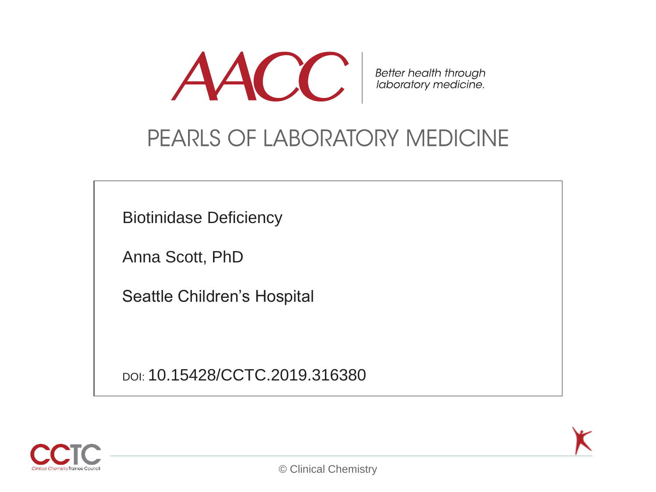

Better health through<br>laboratory medicine.

#### PEARLS OF LABORATORY MEDICINE

Biotinidase Deficiency

Anna Scott, PhD

Seattle Children's Hospital

DOI: 10.15428/CCTC.2019.316380



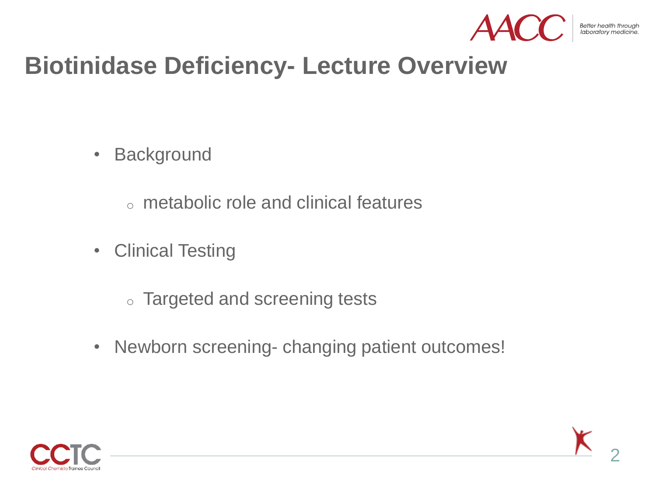

Better health through

#### **Biotinidase Deficiency- Lecture Overview**

- Background
	- o metabolic role and clinical features
- Clinical Testing
	- o Targeted and screening tests
- Newborn screening- changing patient outcomes!

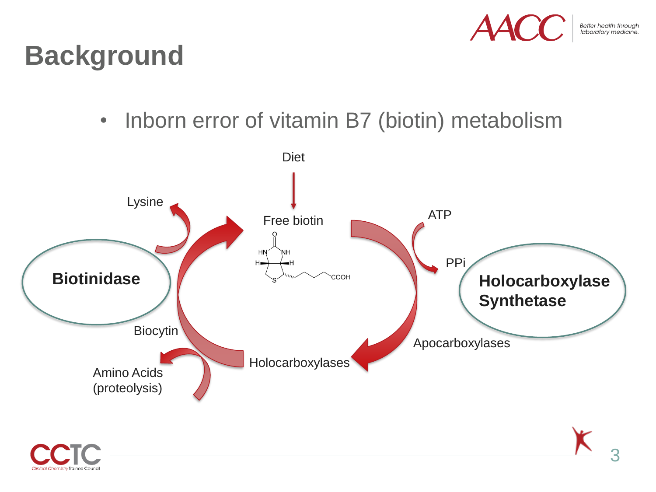

#### **Background**

• Inborn error of vitamin B7 (biotin) metabolism



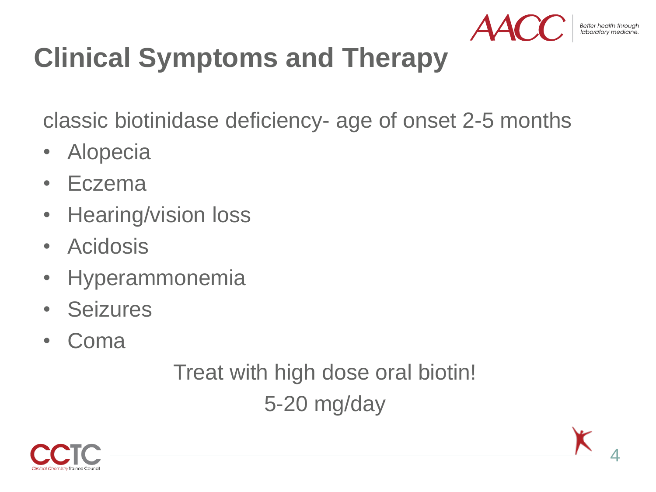

# **Clinical Symptoms and Therapy**

classic biotinidase deficiency- age of onset 2-5 months

- Alopecia
- Eczema
- Hearing/vision loss
- Acidosis
- Hyperammonemia
- Seizures
- Coma

Treat with high dose oral biotin! 5-20 mg/day

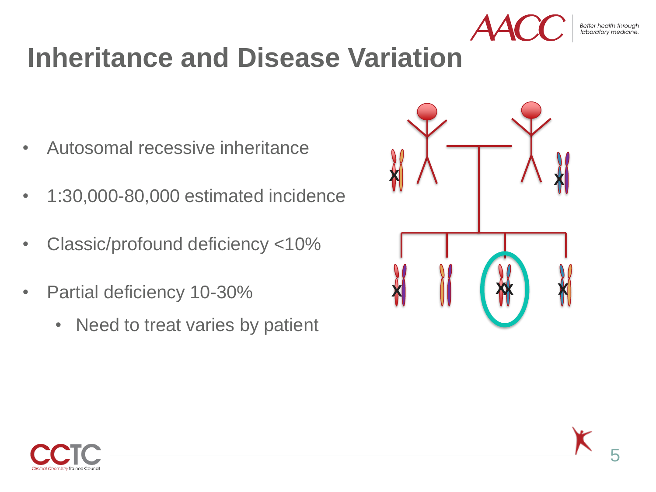

# **Inheritance and Disease Variation**

- Autosomal recessive inheritance
- 1:30,000-80,000 estimated incidence
- Classic/profound deficiency <10%
- Partial deficiency 10-30%
	- Need to treat varies by patient



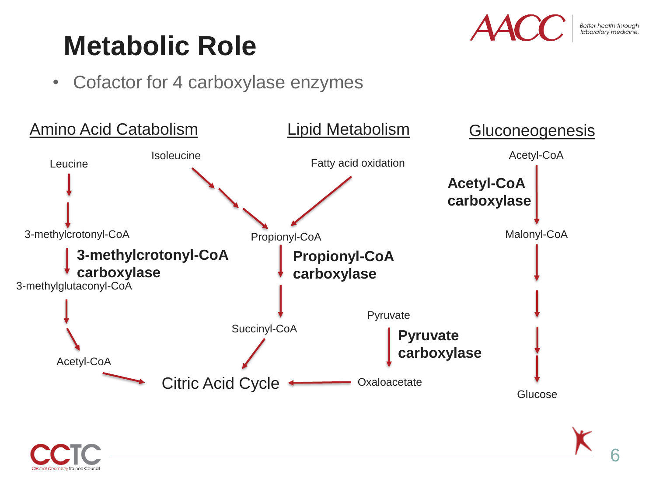## **Metabolic Role**



• Cofactor for 4 carboxylase enzymes



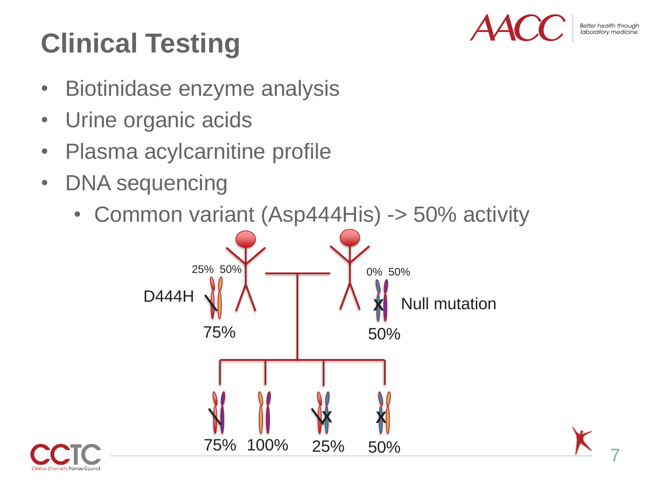# **Clinical Testing**



Better health through laboratory medi

7

- Biotinidase enzyme analysis
- Urine organic acids
- Plasma acylcarnitine profile
- DNA sequencing
	- Common variant (Asp444His) -> 50% activity



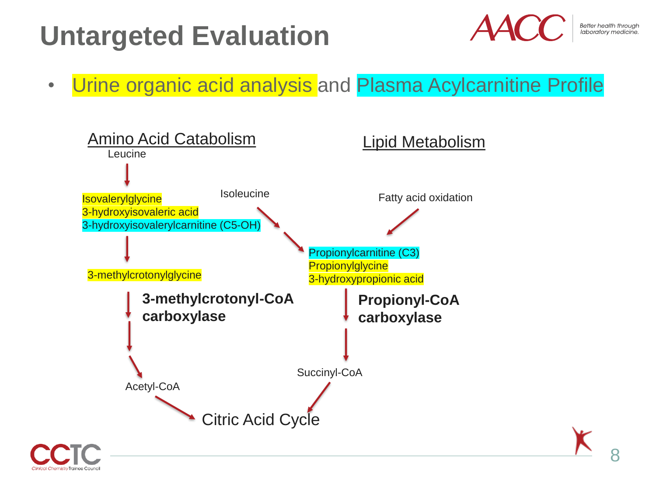# **Untargeted Evaluation**



#### • Urine organic acid analysis and Plasma Acylcarnitine Profile

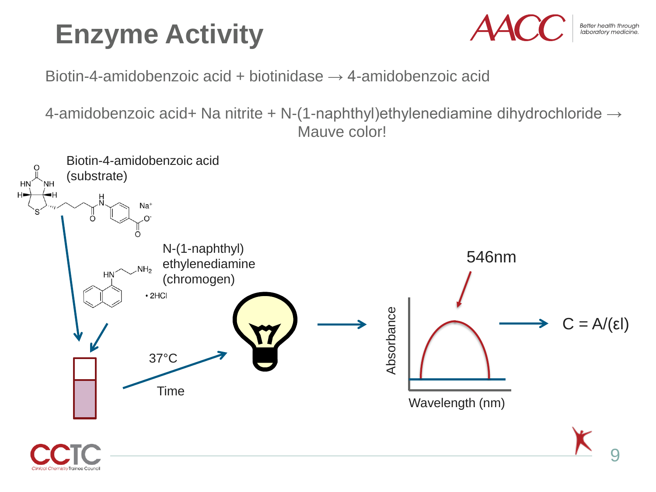# **Enzyme Activity**



Better health through<br>laboratory medicine.

Biotin-4-amidobenzoic acid + biotinidase  $\rightarrow$  4-amidobenzoic acid

4-amidobenzoic acid+ Na nitrite + N-(1-naphthyl)ethylenediamine dihydrochloride → Mauve color!

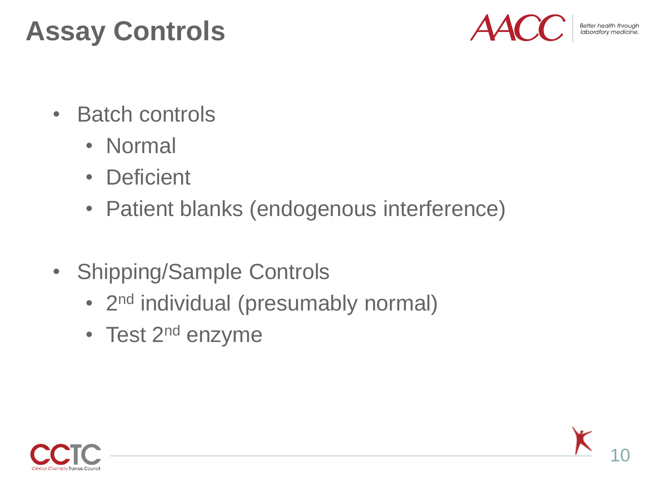# **Assay Controls**



Better health through

- Batch controls
	- Normal
	- Deficient
	- Patient blanks (endogenous interference)
- Shipping/Sample Controls
	- 2<sup>nd</sup> individual (presumably normal)
	- Test 2<sup>nd</sup> enzyme



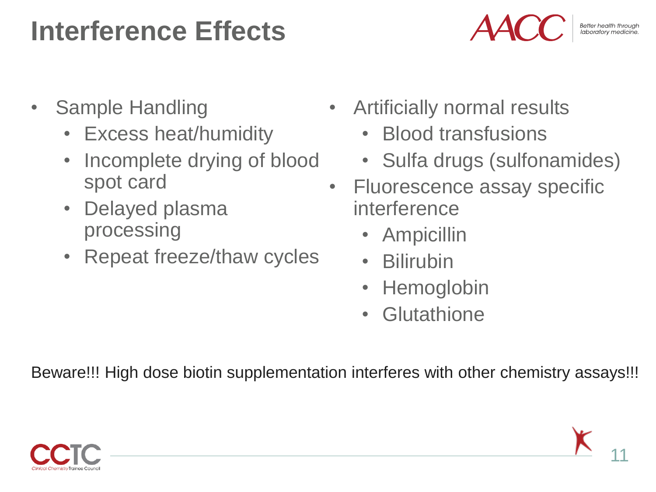#### **Interference Effects**



- Sample Handling
	- Excess heat/humidity
	- Incomplete drying of blood spot card
	- Delayed plasma processing
	- Repeat freeze/thaw cycles
- Artificially normal results
	- Blood transfusions
	- Sulfa drugs (sulfonamides)
- Fluorescence assay specific interference
	- Ampicillin
	- Bilirubin
	- Hemoglobin
	- Glutathione

Beware!!! High dose biotin supplementation interferes with other chemistry assays!!!

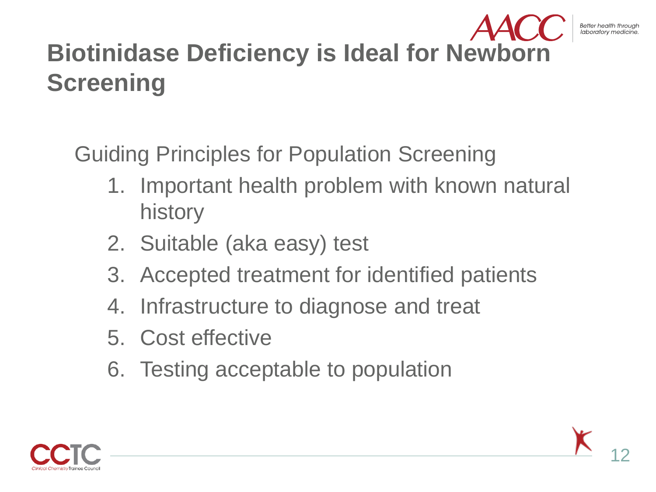#### **Biotinidase Deficiency is Ideal for Newborn Screening**

Guiding Principles for Population Screening

- 1. Important health problem with known natural history
- 2. Suitable (aka easy) test
- 3. Accepted treatment for identified patients
- 4. Infrastructure to diagnose and treat
- 5. Cost effective
- 6. Testing acceptable to population

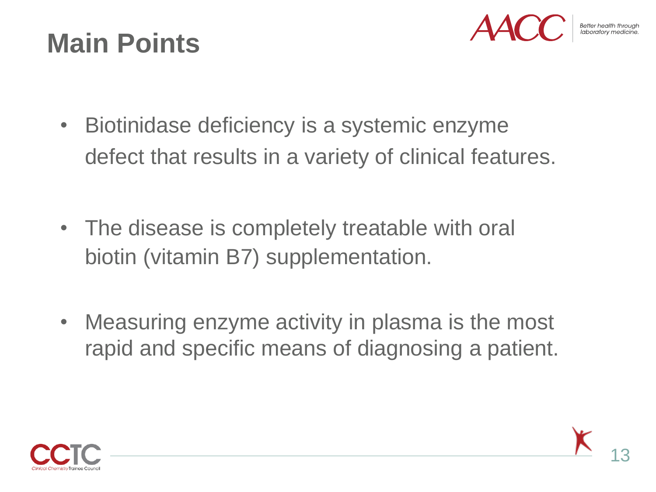## **Main Points**



- Biotinidase deficiency is a systemic enzyme defect that results in a variety of clinical features.
- The disease is completely treatable with oral biotin (vitamin B7) supplementation.
- Measuring enzyme activity in plasma is the most rapid and specific means of diagnosing a patient.

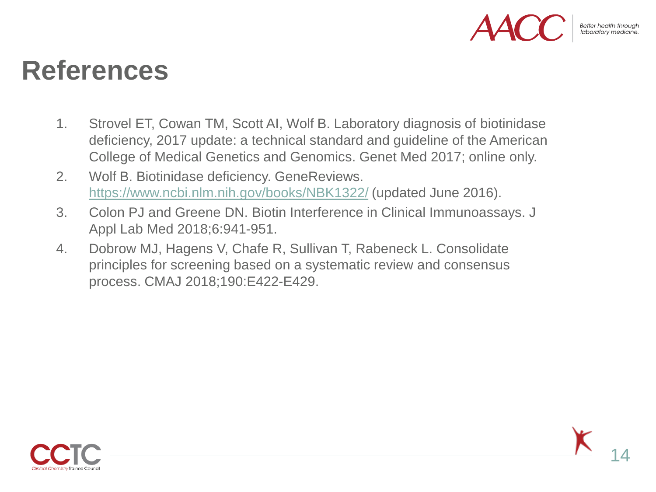

#### **References**

- 1. Strovel ET, Cowan TM, Scott AI, Wolf B. Laboratory diagnosis of biotinidase deficiency, 2017 update: a technical standard and guideline of the American College of Medical Genetics and Genomics. Genet Med 2017; online only.
- 2. Wolf B. Biotinidase deficiency. GeneReviews. <https://www.ncbi.nlm.nih.gov/books/NBK1322/> (updated June 2016).
- 3. Colon PJ and Greene DN. Biotin Interference in Clinical Immunoassays. J Appl Lab Med 2018;6:941-951.
- 4. Dobrow MJ, Hagens V, Chafe R, Sullivan T, Rabeneck L. Consolidate principles for screening based on a systematic review and consensus process. CMAJ 2018;190:E422-E429.

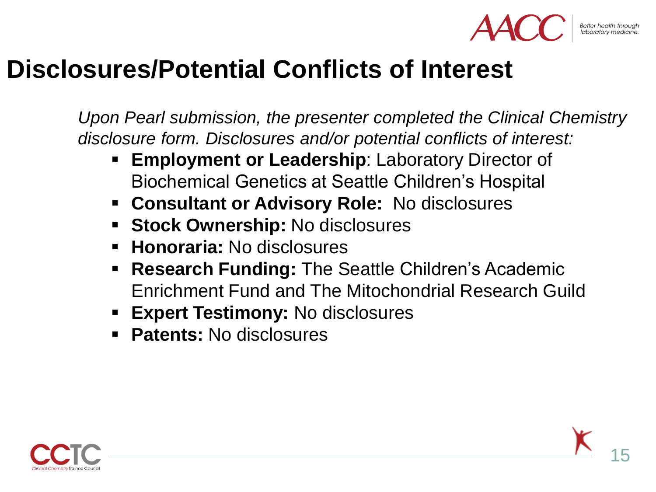

Better health through

#### **Disclosures/Potential Conflicts of Interest**

*Upon Pearl submission, the presenter completed the Clinical Chemistry disclosure form. Disclosures and/or potential conflicts of interest:*

- **Employment or Leadership: Laboratory Director of** Biochemical Genetics at Seattle Children's Hospital
- **Consultant or Advisory Role:** No disclosures
- **Stock Ownership:** No disclosures
- **Honoraria:** No disclosures
- **Research Funding: The Seattle Children's Academic** Enrichment Fund and The Mitochondrial Research Guild
- **Expert Testimony: No disclosures**
- **Patents:** No disclosures